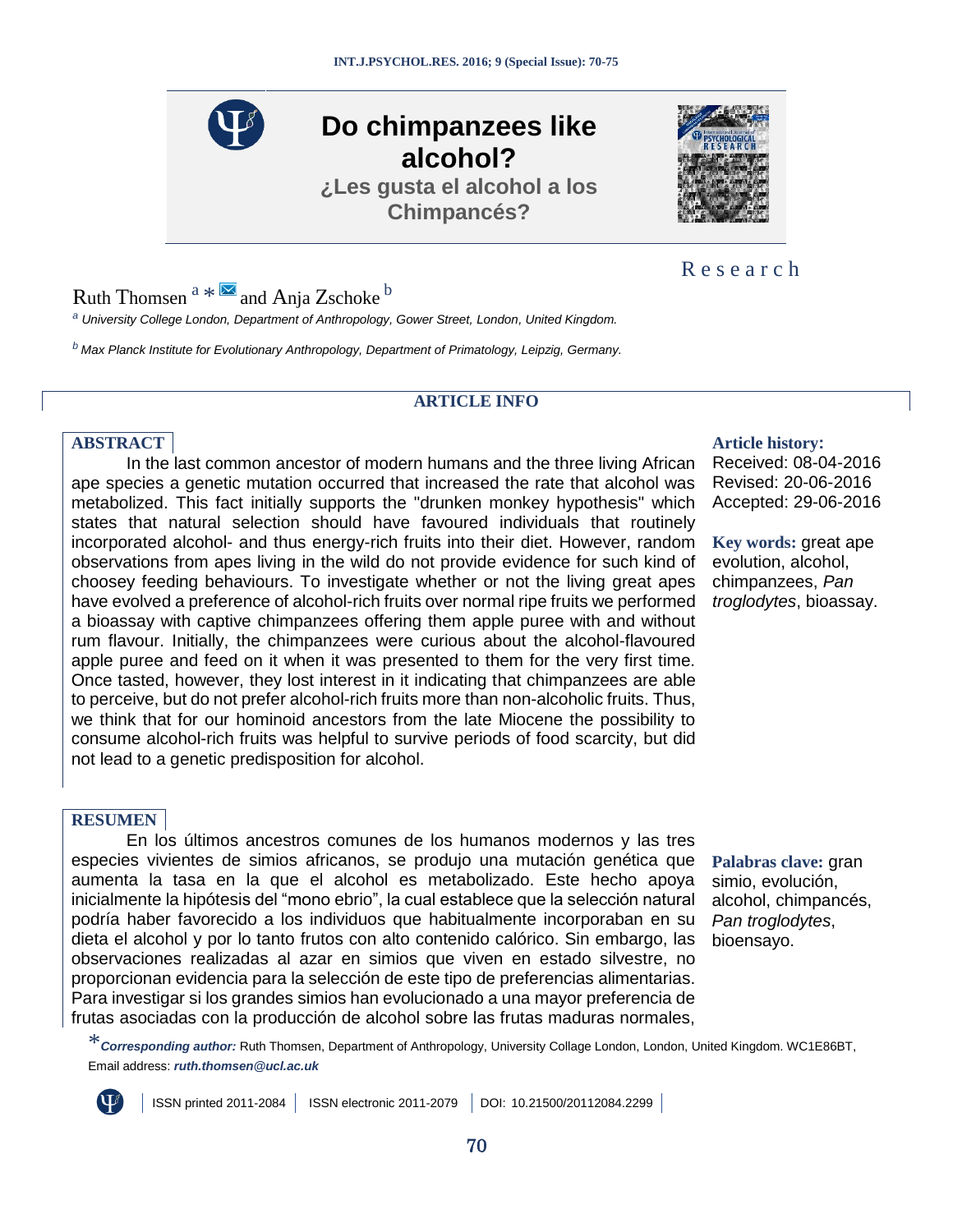**Do chimpanzees like alcohol? ¿Les gusta el alcohol a los Chimpancés?**

Ruth Thomsen  $a * \boxtimes$  $a * \boxtimes$  $a * \boxtimes$  $a * \boxtimes$  $a * \boxtimes$  $a * \boxtimes$  and Anja Zschoke  $b$ 

<span id="page-0-0"></span>*<sup>a</sup> University College London, Department of Anthropology, Gower Street, London, United Kingdom.*

<span id="page-0-2"></span>*<sup>b</sup>Max Planck Institute for Evolutionary Anthropology, Department of Primatology, Leipzig, Germany.*

# **ARTICLE INFO**

# **ABSTRACT Article history:**

In the last common ancestor of modern humans and the three living African ape species a genetic mutation occurred that increased the rate that alcohol was metabolized. This fact initially supports the "drunken monkey hypothesis" which states that natural selection should have favoured individuals that routinely incorporated alcohol- and thus energy-rich fruits into their diet. However, random observations from apes living in the wild do not provide evidence for such kind of choosey feeding behaviours. To investigate whether or not the living great apes have evolved a preference of alcohol-rich fruits over normal ripe fruits we performed a bioassay with captive chimpanzees offering them apple puree with and without rum flavour. Initially, the chimpanzees were curious about the alcohol-flavoured apple puree and feed on it when it was presented to them for the very first time. Once tasted, however, they lost interest in it indicating that chimpanzees are able to perceive, but do not prefer alcohol-rich fruits more than non-alcoholic fruits. Thus, we think that for our hominoid ancestors from the late Miocene the possibility to consume alcohol-rich fruits was helpful to survive periods of food scarcity, but did not lead to a genetic predisposition for alcohol.

# **RESUMEN**

En los últimos ancestros comunes de los humanos modernos y las tres especies vivientes de simios africanos, se produjo una mutación genética que aumenta la tasa en la que el alcohol es metabolizado. Este hecho apoya inicialmente la hipótesis del "mono ebrio", la cual establece que la selección natural podría haber favorecido a los individuos que habitualmente incorporaban en su dieta el alcohol y por lo tanto frutos con alto contenido calórico. Sin embargo, las observaciones realizadas al azar en simios que viven en estado silvestre, no proporcionan evidencia para la selección de este tipo de preferencias alimentarias. Para investigar si los grandes simios han evolucionado a una mayor preferencia de frutas asociadas con la producción de alcohol sobre las frutas maduras normales,

Received: 08-04-2016 Revised: 20-06-2016 Accepted: 29-06-2016

**Key words:** great ape evolution, alcohol, chimpanzees, *Pan troglodytes*, bioassay.

**Palabras clave:** gran simio, evolución, alcohol, chimpancés, *Pan troglodytes*, bioensayo.

<span id="page-0-1"></span>\**Corresponding author:* Ruth Thomsen, Department of Anthropology, University Collage London, London, United Kingdom. WC1E86BT, Email address: *[ruth.thomsen@ucl.ac.uk](mailto:ruth.thomsen@ucl.ac.uk)*

ISSN printed 2011-2084 | ISSN electronic 2011-2079 | DOI: [10.21500/20112084.2299](http://dx.doi.org/10.21500/20112084.2299) |







# R e s e a r c h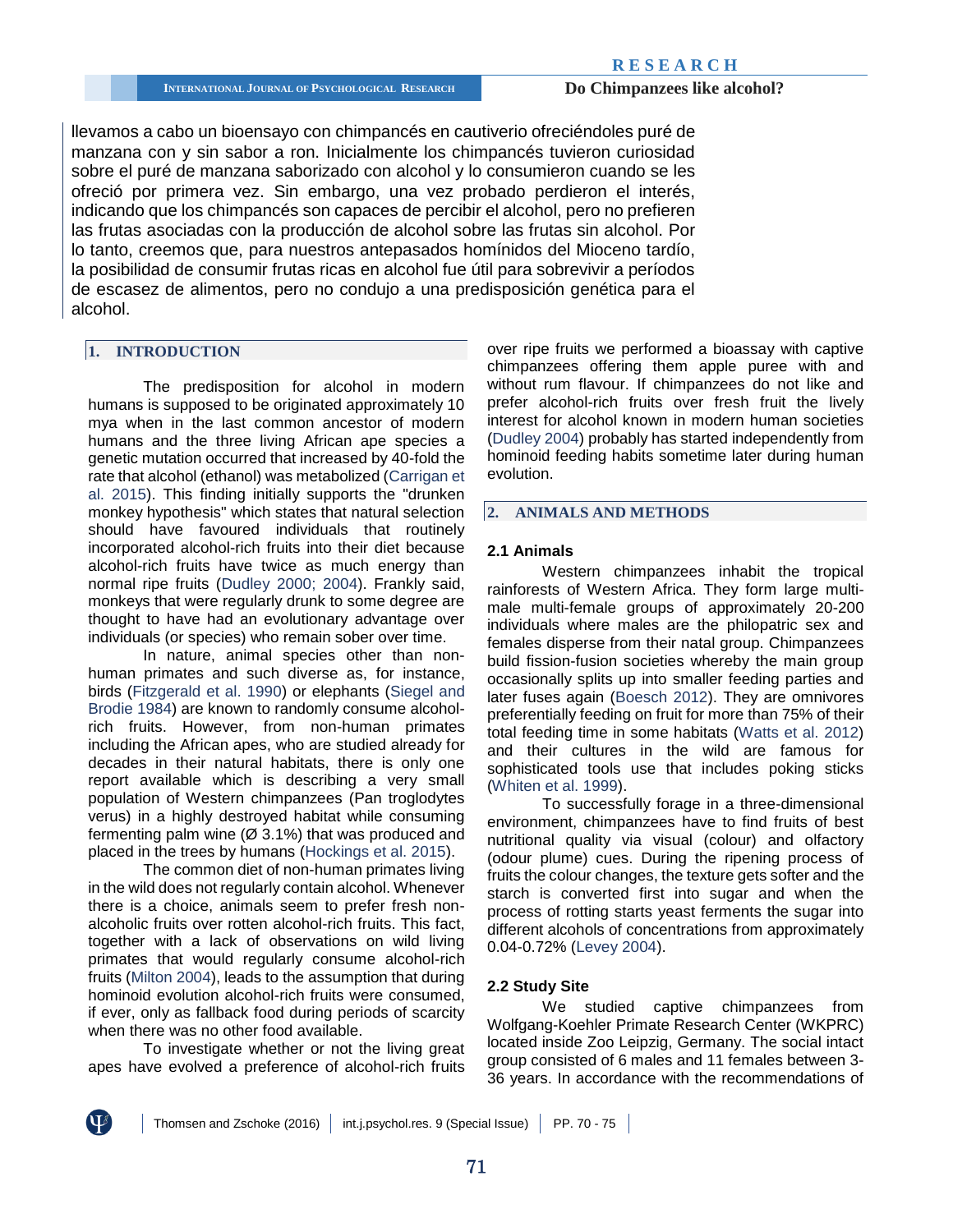llevamos a cabo un bioensayo con chimpancés en cautiverio ofreciéndoles puré de manzana con y sin sabor a ron. Inicialmente los chimpancés tuvieron curiosidad sobre el puré de manzana saborizado con alcohol y lo consumieron cuando se les ofreció por primera vez. Sin embargo, una vez probado perdieron el interés, indicando que los chimpancés son capaces de percibir el alcohol, pero no prefieren las frutas asociadas con la producción de alcohol sobre las frutas sin alcohol. Por lo tanto, creemos que, para nuestros antepasados homínidos del Mioceno tardío, la posibilidad de consumir frutas ricas en alcohol fue útil para sobrevivir a períodos de escasez de alimentos, pero no condujo a una predisposición genética para el alcohol.

# **1. INTRODUCTION**

The predisposition for alcohol in modern humans is supposed to be originated approximately 10 mya when in the last common ancestor of modern humans and the three living African ape species a genetic mutation occurred that increased by 40-fold the rate that alcohol (ethanol) was metabolized [\(Carrigan et](#page-5-0)  [al. 2015\)](#page-5-0). This finding initially supports the "drunken monkey hypothesis" which states that natural selection should have favoured individuals that routinely incorporated alcohol-rich fruits into their diet because alcohol-rich fruits have twice as much energy than normal ripe fruits [\(Dudley 2000;](#page-5-1) [2004\)](#page-5-2). Frankly said, monkeys that were regularly drunk to some degree are thought to have had an evolutionary advantage over individuals (or species) who remain sober over time.

In nature, animal species other than nonhuman primates and such diverse as, for instance, birds [\(Fitzgerald et al. 1990\)](#page-5-3) or elephants [\(Siegel and](#page-5-4)  [Brodie 1984\)](#page-5-4) are known to randomly consume alcoholrich fruits. However, from non-human primates including the African apes, who are studied already for decades in their natural habitats, there is only one report available which is describing a very small population of Western chimpanzees (Pan troglodytes verus) in a highly destroyed habitat while consuming fermenting palm wine  $(Ø 3.1%)$  that was produced and placed in the trees by humans [\(Hockings et al. 2015\)](#page-5-5).

The common diet of non-human primates living in the wild does not regularly contain alcohol. Whenever there is a choice, animals seem to prefer fresh nonalcoholic fruits over rotten alcohol-rich fruits. This fact, together with a lack of observations on wild living primates that would regularly consume alcohol-rich fruits [\(Milton 2004\)](#page-5-6), leads to the assumption that during hominoid evolution alcohol-rich fruits were consumed, if ever, only as fallback food during periods of scarcity when there was no other food available.

To investigate whether or not the living great apes have evolved a preference of alcohol-rich fruits over ripe fruits we performed a bioassay with captive chimpanzees offering them apple puree with and without rum flavour. If chimpanzees do not like and prefer alcohol-rich fruits over fresh fruit the lively interest for alcohol known in modern human societies [\(Dudley 2004\)](#page-5-2) probably has started independently from hominoid feeding habits sometime later during human evolution.

# **2. ANIMALS AND METHODS**

#### **2.1 Animals**

Western chimpanzees inhabit the tropical rainforests of Western Africa. They form large multimale multi-female groups of approximately 20-200 individuals where males are the philopatric sex and females disperse from their natal group. Chimpanzees build fission-fusion societies whereby the main group occasionally splits up into smaller feeding parties and later fuses again [\(Boesch 2012\)](#page-5-7). They are omnivores preferentially feeding on fruit for more than 75% of their total feeding time in some habitats [\(Watts et al. 2012\)](#page-5-8) and their cultures in the wild are famous for sophisticated tools use that includes poking sticks [\(Whiten et al. 1999\)](#page-5-9).

To successfully forage in a three-dimensional environment, chimpanzees have to find fruits of best nutritional quality via visual (colour) and olfactory (odour plume) cues. During the ripening process of fruits the colour changes, the texture gets softer and the starch is converted first into sugar and when the process of rotting starts yeast ferments the sugar into different alcohols of concentrations from approximately 0.04-0.72% [\(Levey 2004\)](#page-5-10).

### **2.2 Study Site**

We studied captive chimpanzees from Wolfgang-Koehler Primate Research Center (WKPRC) located inside Zoo Leipzig, Germany. The social intact group consisted of 6 males and 11 females between 3- 36 years. In accordance with the recommendations of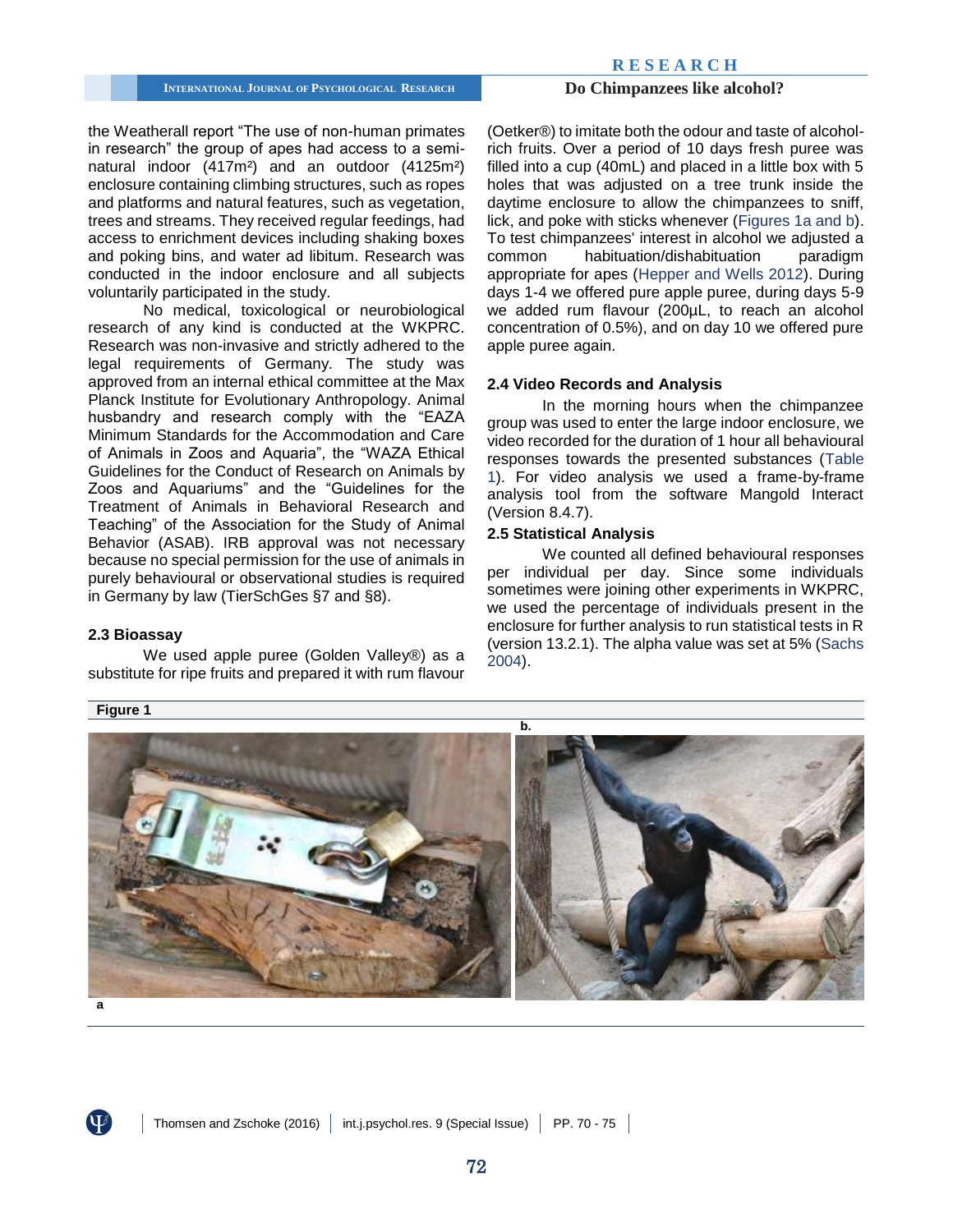### **R E S E A R C H**

# **INTERNATIONAL JOURNAL OF PSYCHOLOGICAL RESEARCH <b>Do Chimpanzees like alcohol?**

the Weatherall report "The use of non-human primates in research" the group of apes had access to a seminatural indoor (417m²) and an outdoor (4125m²) enclosure containing climbing structures, such as ropes and platforms and natural features, such as vegetation, trees and streams. They received regular feedings, had access to enrichment devices including shaking boxes and poking bins, and water ad libitum. Research was conducted in the indoor enclosure and all subjects voluntarily participated in the study.

No medical, toxicological or neurobiological research of any kind is conducted at the WKPRC. Research was non-invasive and strictly adhered to the legal requirements of Germany. The study was approved from an internal ethical committee at the Max Planck Institute for Evolutionary Anthropology. Animal husbandry and research comply with the "EAZA Minimum Standards for the Accommodation and Care of Animals in Zoos and Aquaria", the "WAZA Ethical Guidelines for the Conduct of Research on Animals by Zoos and Aquariums" and the "Guidelines for the Treatment of Animals in Behavioral Research and Teaching" of the Association for the Study of Animal Behavior (ASAB). IRB approval was not necessary because no special permission for the use of animals in purely behavioural or observational studies is required in Germany by law (TierSchGes §7 and §8).

### **2.3 Bioassay**

We used apple puree (Golden Valley®) as a substitute for ripe fruits and prepared it with rum flavour (Oetker®) to imitate both the odour and taste of alcoholrich fruits. Over a period of 10 days fresh puree was filled into a cup (40mL) and placed in a little box with 5 holes that was adjusted on a tree trunk inside the daytime enclosure to allow the chimpanzees to sniff, lick, and poke with sticks whenever [\(Figures 1a and b\)](#page-2-0). To test chimpanzees' interest in alcohol we adjusted a common habituation/dishabituation paradigm appropriate for apes [\(Hepper and Wells 2012\)](#page-5-11). During days 1-4 we offered pure apple puree, during days 5-9 we added rum flavour (200µL, to reach an alcohol concentration of 0.5%), and on day 10 we offered pure apple puree again.

# **2.4 Video Records and Analysis**

In the morning hours when the chimpanzee group was used to enter the large indoor enclosure, we video recorded for the duration of 1 hour all behavioural responses towards the presented substances [\(Table](#page-3-0)  [1\)](#page-3-0). For video analysis we used a frame-by-frame analysis tool from the software Mangold Interact (Version 8.4.7).

# **2.5 Statistical Analysis**

We counted all defined behavioural responses per individual per day. Since some individuals sometimes were joining other experiments in WKPRC, we used the percentage of individuals present in the enclosure for further analysis to run statistical tests in R (version 13.2.1). The alpha value was set at 5% [\(Sachs](#page-5-12)  [2004\)](#page-5-12).

<span id="page-2-0"></span>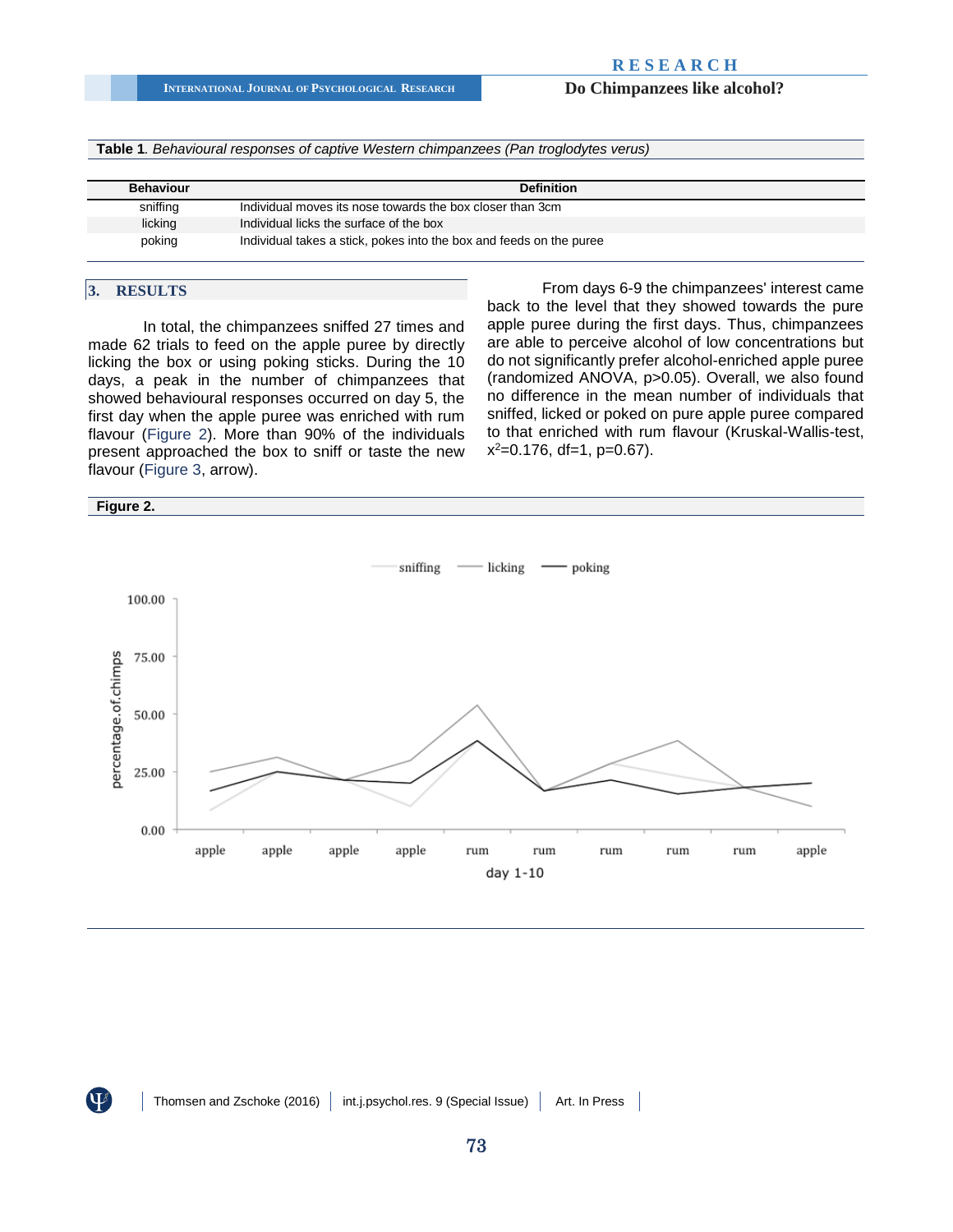**INTERNATIONAL JOURNAL OF PSYCHOLOGICAL RESEARCH Do Chimpanzees like alcohol?**

<span id="page-3-0"></span>**Table 1***. Behavioural responses of captive Western chimpanzees (Pan troglodytes verus)* 

| <b>Behaviour</b> | <b>Definition</b>                                                   |
|------------------|---------------------------------------------------------------------|
| sniffing         | Individual moves its nose towards the box closer than 3cm           |
| licking          | Individual licks the surface of the box                             |
| poking           | Individual takes a stick, pokes into the box and feeds on the puree |

# **3. RESULTS**

In total, the chimpanzees sniffed 27 times and made 62 trials to feed on the apple puree by directly licking the box or using poking sticks. During the 10 days, a peak in the number of chimpanzees that showed behavioural responses occurred on day 5, the first day when the apple puree was enriched with rum flavour [\(Figure 2\)](#page-3-1). More than 90% of the individuals present approached the box to sniff or taste the new flavour [\(Figure 3,](#page-4-0) arrow).

From days 6-9 the chimpanzees' interest came back to the level that they showed towards the pure apple puree during the first days. Thus, chimpanzees are able to perceive alcohol of low concentrations but do not significantly prefer alcohol-enriched apple puree (randomized ANOVA, p>0.05). Overall, we also found no difference in the mean number of individuals that sniffed, licked or poked on pure apple puree compared to that enriched with rum flavour (Kruskal-Wallis-test, x <sup>2</sup>=0.176, df=1, p=0.67).

<span id="page-3-1"></span>

 $\mathbf{U}^g$ 

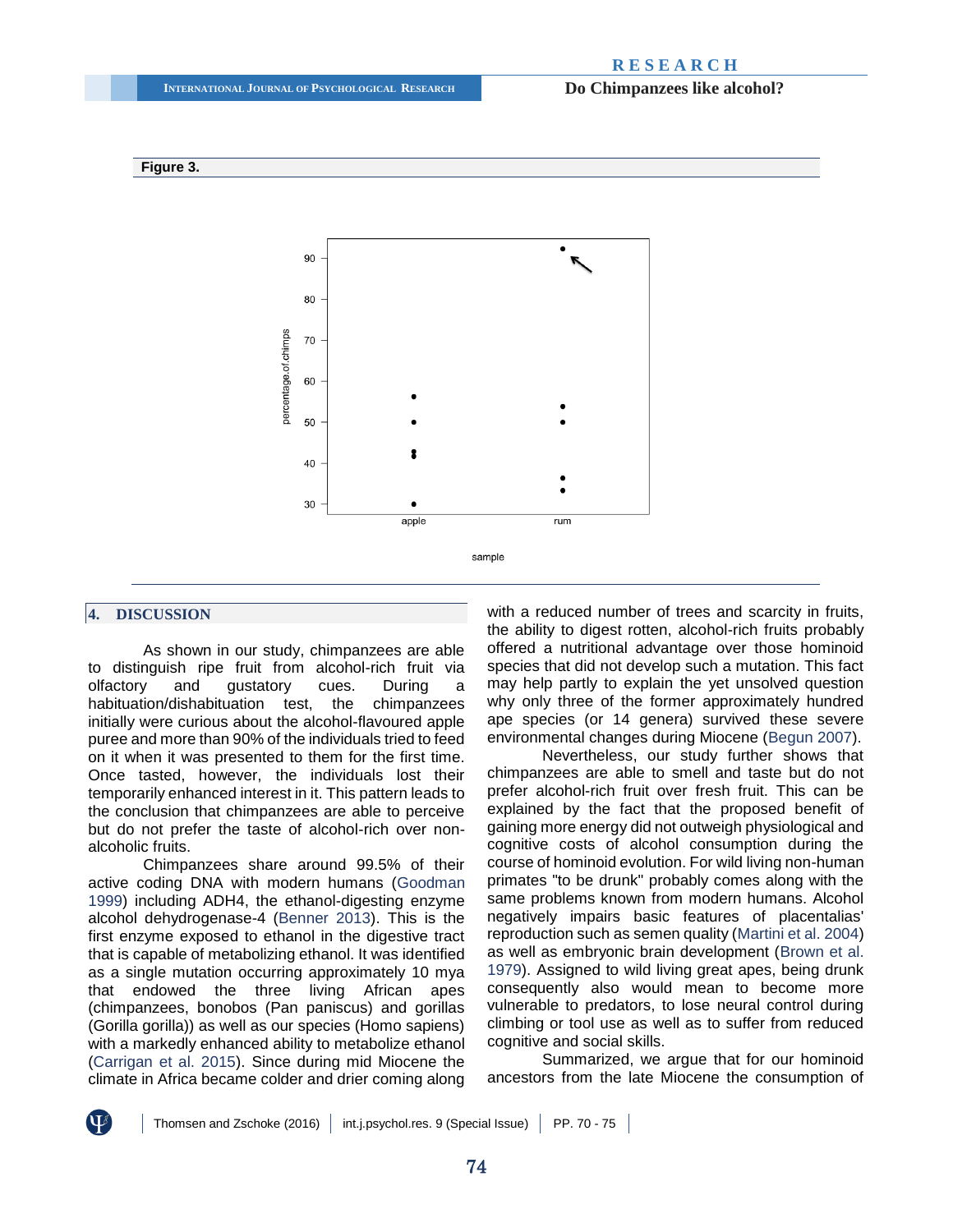### **R E S E A R C H**



#### <span id="page-4-0"></span>**Figure 3.**

#### **4. DISCUSSION**

As shown in our study, chimpanzees are able to distinguish ripe fruit from alcohol-rich fruit via olfactory and gustatory cues. During a habituation/dishabituation test, the chimpanzees initially were curious about the alcohol-flavoured apple puree and more than 90% of the individuals tried to feed on it when it was presented to them for the first time. Once tasted, however, the individuals lost their temporarily enhanced interest in it. This pattern leads to the conclusion that chimpanzees are able to perceive but do not prefer the taste of alcohol-rich over nonalcoholic fruits.

Chimpanzees share around 99.5% of their active coding DNA with modern humans [\(Goodman](#page-5-13)  [1999\)](#page-5-13) including ADH4, the ethanol-digesting enzyme alcohol dehydrogenase-4 [\(Benner 2013\)](#page-5-14). This is the first enzyme exposed to ethanol in the digestive tract that is capable of metabolizing ethanol. It was identified as a single mutation occurring approximately 10 mya that endowed the three living African apes (chimpanzees, bonobos (Pan paniscus) and gorillas (Gorilla gorilla)) as well as our species (Homo sapiens) with a markedly enhanced ability to metabolize ethanol [\(Carrigan et al. 2015\)](#page-5-0). Since during mid Miocene the climate in Africa became colder and drier coming along with a reduced number of trees and scarcity in fruits, the ability to digest rotten, alcohol-rich fruits probably offered a nutritional advantage over those hominoid species that did not develop such a mutation. This fact may help partly to explain the yet unsolved question why only three of the former approximately hundred ape species (or 14 genera) survived these severe environmental changes during Miocene [\(Begun 2007\)](#page-5-15).

Nevertheless, our study further shows that chimpanzees are able to smell and taste but do not prefer alcohol-rich fruit over fresh fruit. This can be explained by the fact that the proposed benefit of gaining more energy did not outweigh physiological and cognitive costs of alcohol consumption during the course of hominoid evolution. For wild living non-human primates "to be drunk" probably comes along with the same problems known from modern humans. Alcohol negatively impairs basic features of placentalias' reproduction such as semen quality [\(Martini et al. 2004\)](#page-5-16) as well as embryonic brain development [\(Brown et al.](#page-5-17)  [1979\)](#page-5-17). Assigned to wild living great apes, being drunk consequently also would mean to become more vulnerable to predators, to lose neural control during climbing or tool use as well as to suffer from reduced cognitive and social skills.

Summarized, we argue that for our hominoid ancestors from the late Miocene the consumption of